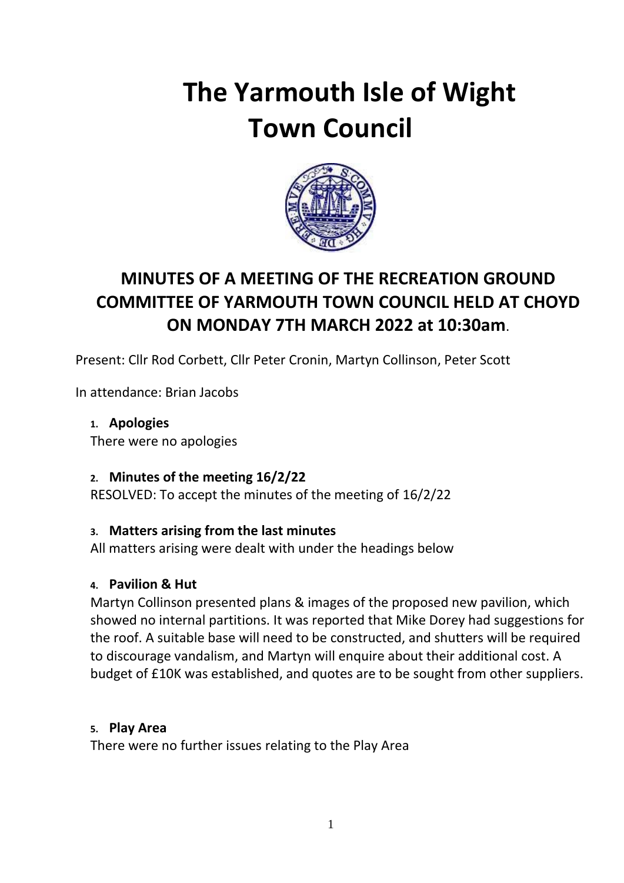# **The Yarmouth Isle of Wight Town Council**



## **MINUTES OF A MEETING OF THE RECREATION GROUND COMMITTEE OF YARMOUTH TOWN COUNCIL HELD AT CHOYD ON MONDAY 7TH MARCH 2022 at 10:30am**.

Present: Cllr Rod Corbett, Cllr Peter Cronin, Martyn Collinson, Peter Scott

In attendance: Brian Jacobs

**1. Apologies** There were no apologies

#### **2. Minutes of the meeting 16/2/22**

RESOLVED: To accept the minutes of the meeting of 16/2/22

#### **3. Matters arising from the last minutes**

All matters arising were dealt with under the headings below

#### **4. Pavilion & Hut**

Martyn Collinson presented plans & images of the proposed new pavilion, which showed no internal partitions. It was reported that Mike Dorey had suggestions for the roof. A suitable base will need to be constructed, and shutters will be required to discourage vandalism, and Martyn will enquire about their additional cost. A budget of £10K was established, and quotes are to be sought from other suppliers.

#### **5. Play Area**

There were no further issues relating to the Play Area